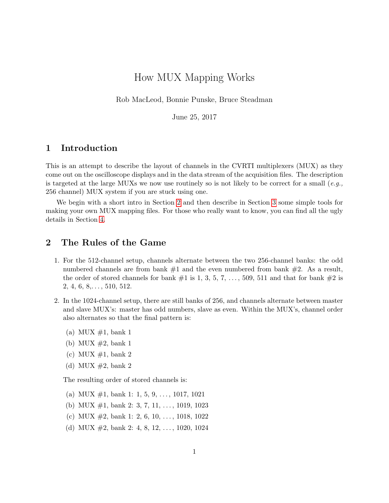# How MUX Mapping Works

Rob MacLeod, Bonnie Punske, Bruce Steadman

June 25, 2017

### 1 Introduction

This is an attempt to describe the layout of channels in the CVRTI multiplexers (MUX) as they come out on the oscilloscope displays and in the data stream of the acquisition files. The description is targeted at the large MUXs we now use routinely so is not likely to be correct for a small (e.g., 256 channel) MUX system if you are stuck using one.

We begin with a short intro in Section [2](#page-0-0) and then describe in Section [3](#page-2-0) some simple tools for making your own MUX mapping files. For those who really want to know, you can find all the ugly details in Section [4.](#page-3-0)

# <span id="page-0-0"></span>2 The Rules of the Game

- 1. For the 512-channel setup, channels alternate between the two 256-channel banks: the odd numbered channels are from bank  $#1$  and the even numbered from bank  $#2$ . As a result, the order of stored channels for bank  $\#1$  is 1, 3, 5, 7, ..., 509, 511 and that for bank  $\#2$  is  $2, 4, 6, 8, \ldots, 510, 512.$
- 2. In the 1024-channel setup, there are still banks of 256, and channels alternate between master and slave MUX's: master has odd numbers, slave as even. Within the MUX's, channel order also alternates so that the final pattern is:
	- (a) MUX  $\#1$ , bank 1
	- (b) MUX  $\#2$ , bank 1
	- (c) MUX  $\#1$ , bank 2
	- (d) MUX  $\#2$ , bank 2

The resulting order of stored channels is:

- (a) MUX  $\#1$ , bank 1: 1, 5, 9, ..., 1017, 1021
- (b) MUX  $\#1$ , bank 2: 3, 7, 11, ..., 1019, 1023
- (c) MUX  $\#2$ , bank 1: 2, 6, 10, ..., 1018, 1022
- (d) MUX  $\#2$ , bank 2: 4, 8, 12, ..., 1020, 1024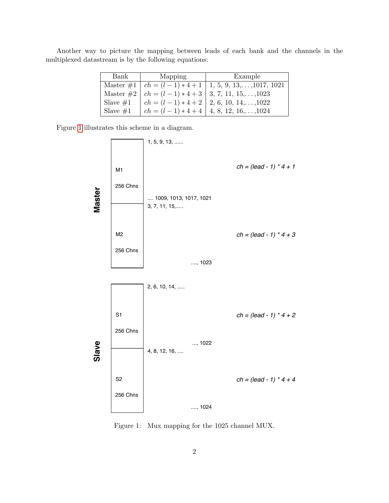Another way to picture the mapping between leads of each bank and the channels in the multiplexed datastream is by the following equations:

| Bank        | Mapping | Example                                                               |
|-------------|---------|-----------------------------------------------------------------------|
|             |         | Master $\#1 \mid ch = (l-1)*4+1 \mid 1, 5, 9, 13, \ldots, 1017, 1021$ |
|             |         | Master $\#2 \mid ch = (l-1)*4+3 \mid 3, 7, 11, 15, \ldots, 1023$      |
| Slave $\#1$ |         | $ch = (l-1)*4+2$   2, 6, 10, 14,,1022                                 |
| Slave $#1$  |         | $ch = (l-1)*4+4$   4, 8, 12, 16,,1024                                 |

Figure [1](#page-1-0) illustrates this scheme in a diagram.



<span id="page-1-0"></span>Figure 1: Mux mapping for the 1025 channel MUX.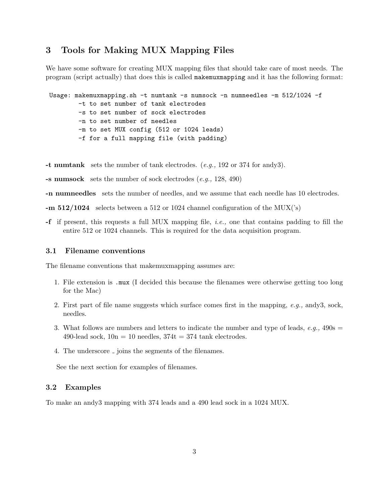# <span id="page-2-0"></span>3 Tools for Making MUX Mapping Files

We have some software for creating MUX mapping files that should take care of most needs. The program (script actually) that does this is called makemuxmapping and it has the following format:

```
Usage: makemuxmapping.sh -t numtank -s numsock -n numneedles -m 512/1024 -f
        -t to set number of tank electrodes
        -s to set number of sock electrodes
        -n to set number of needles
        -m to set MUX config (512 or 1024 leads)
        -f for a full mapping file (with padding)
```
- -t numtank sets the number of tank electrodes.  $(e.g., 192 \text{ or } 374 \text{ for } \text{andy3}).$
- -s numsock sets the number of sock electrodes  $(e.g., 128, 490)$

-n numneedles sets the number of needles, and we assume that each needle has 10 electrodes.

- $-$ m 512/1024 selects between a 512 or 1024 channel configuration of the MUX( $\degree$ s)
- -f if present, this requests a full MUX mapping file, i.e., one that contains padding to fill the entire 512 or 1024 channels. This is required for the data acquisition program.

### 3.1 Filename conventions

The filename conventions that makemuxmapping assumes are:

- 1. File extension is .mux (I decided this because the filenames were otherwise getting too long for the Mac)
- 2. First part of file name suggests which surface comes first in the mapping,  $e.g.,$  andy3, sock, needles.
- 3. What follows are numbers and letters to indicate the number and type of leads,  $e.g., 490s =$ 490-lead sock,  $10n = 10$  needles,  $374t = 374$  tank electrodes.
- 4. The underscore  $\overline{\ }$  joins the segments of the filenames.

See the next section for examples of filenames.

### 3.2 Examples

To make an andy3 mapping with 374 leads and a 490 lead sock in a 1024 MUX.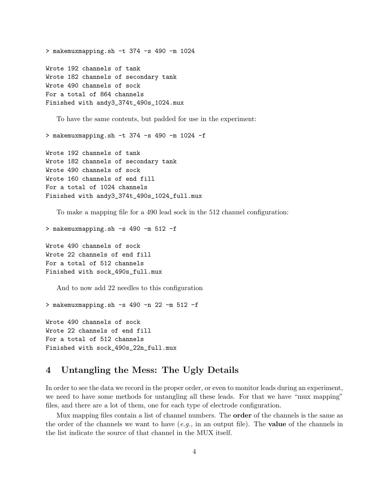```
> makemuxmapping.sh -t 374 -s 490 -m 1024
Wrote 192 channels of tank
Wrote 182 channels of secondary tank
Wrote 490 channels of sock
For a total of 864 channels
Finished with andy3_374t_490s_1024.mux
```
To have the same contents, but padded for use in the experiment:

> makemuxmapping.sh -t 374 -s 490 -m 1024 -f

```
Wrote 192 channels of tank
Wrote 182 channels of secondary tank
Wrote 490 channels of sock
Wrote 160 channels of end fill
For a total of 1024 channels
Finished with andy3_374t_490s_1024_full.mux
```
To make a mapping file for a 490 lead sock in the 512 channel configuration:

> makemuxmapping.sh -s 490 -m 512 -f

Wrote 490 channels of sock Wrote 22 channels of end fill For a total of 512 channels Finished with sock\_490s\_full.mux

And to now add 22 needles to this configuration

> makemuxmapping.sh -s 490 -n 22 -m 512 -f

Wrote 490 channels of sock Wrote 22 channels of end fill For a total of 512 channels Finished with sock\_490s\_22n\_full.mux

# <span id="page-3-0"></span>4 Untangling the Mess: The Ugly Details

In order to see the data we record in the proper order, or even to monitor leads during an experiment, we need to have some methods for untangling all these leads. For that we have "mux mapping" files, and there are a lot of them, one for each type of electrode configuration.

Mux mapping files contain a list of channel numbers. The order of the channels is the same as the order of the channels we want to have  $(e.g.,)$  in an output file). The **value** of the channels in the list indicate the source of that channel in the MUX itself.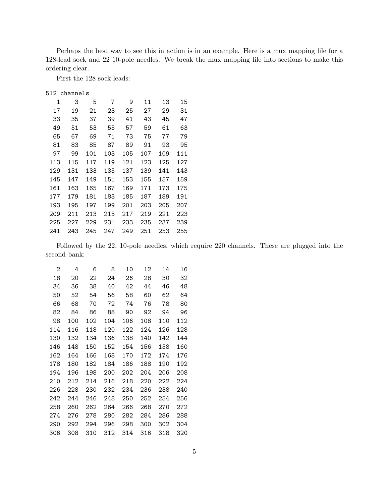Perhaps the best way to see this in action is in an example. Here is a mux mapping file for a 128-lead sock and 22 10-pole needles. We break the mux mapping file into sections to make this ordering clear.

First the 128 sock leads:

#### 512 channels

| 1   | 3   | 5   | 7   | 9   | 11  | 13  | 15  |
|-----|-----|-----|-----|-----|-----|-----|-----|
| 17  | 19  | 21  | 23  | 25  | 27  | 29  | 31  |
| 33  | 35  | 37  | 39  | 41  | 43  | 45  | 47  |
| 49  | 51  | 53  | 55  | 57  | 59  | 61  | 63  |
| 65  | 67  | 69  | 71  | 73  | 75  | 77  | 79  |
| 81  | 83  | 85  | 87  | 89  | 91  | 93  | 95  |
| 97  | 99  | 101 | 103 | 105 | 107 | 109 | 111 |
| 113 | 115 | 117 | 119 | 121 | 123 | 125 | 127 |
| 129 | 131 | 133 | 135 | 137 | 139 | 141 | 143 |
| 145 | 147 | 149 | 151 | 153 | 155 | 157 | 159 |
| 161 | 163 | 165 | 167 | 169 | 171 | 173 | 175 |
| 177 | 179 | 181 | 183 | 185 | 187 | 189 | 191 |
| 193 | 195 | 197 | 199 | 201 | 203 | 205 | 207 |
| 209 | 211 | 213 | 215 | 217 | 219 | 221 | 223 |
| 225 | 227 | 229 | 231 | 233 | 235 | 237 | 239 |
| 241 | 243 | 245 | 247 | 249 | 251 | 253 | 255 |

Followed by the 22, 10-pole needles, which require 220 channels. These are plugged into the second bank:

| 2   | 4   | 6   | 8   | 10  | 12  | 14  | 16  |
|-----|-----|-----|-----|-----|-----|-----|-----|
| 18  | 20  | 22  | 24  | 26  | 28  | 30  | 32  |
| 34  | 36  | 38  | 40  | 42  | 44  | 46  | 48  |
| 50  | 52  | 54  | 56  | 58  | 60  | 62  | 64  |
| 66  | 68  | 70  | 72  | 74  | 76  | 78  | 80  |
| 82  | 84  | 86  | 88  | 90  | 92  | 94  | 96  |
| 98  | 100 | 102 | 104 | 106 | 108 | 110 | 112 |
| 114 | 116 | 118 | 120 | 122 | 124 | 126 | 128 |
| 130 | 132 | 134 | 136 | 138 | 140 | 142 | 144 |
| 146 | 148 | 150 | 152 | 154 | 156 | 158 | 160 |
| 162 | 164 | 166 | 168 | 170 | 172 | 174 | 176 |
| 178 | 180 | 182 | 184 | 186 | 188 | 190 | 192 |
| 194 | 196 | 198 | 200 | 202 | 204 | 206 | 208 |
| 210 | 212 | 214 | 216 | 218 | 220 | 222 | 224 |
| 226 | 228 | 230 | 232 | 234 | 236 | 238 | 240 |
| 242 | 244 | 246 | 248 | 250 | 252 | 254 | 256 |
| 258 | 260 | 262 | 264 | 266 | 268 | 270 | 272 |
| 274 | 276 | 278 | 280 | 282 | 284 | 286 | 288 |
| 290 | 292 | 294 | 296 | 298 | 300 | 302 | 304 |
| 306 | 308 | 310 | 312 | 314 | 316 | 318 | 320 |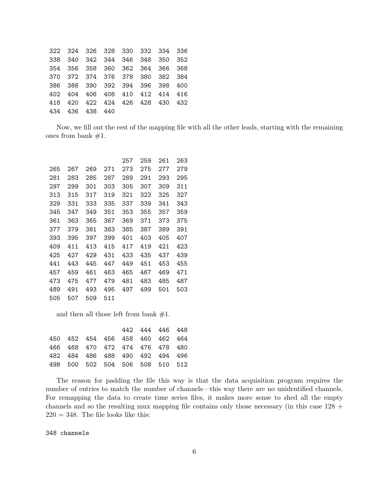| 322 324 326 328 330 332 334 336 |  |  |  |
|---------------------------------|--|--|--|
| 338 340 342 344 346 348 350 352 |  |  |  |
| 354 356 358 360 362 364 366 368 |  |  |  |
| 370 372 374 376 378 380 382 384 |  |  |  |
| 386 388 390 392 394 396 398 400 |  |  |  |
| 402 404 406 408 410 412 414 416 |  |  |  |
| 418 420 422 424 426 428 430 432 |  |  |  |
| 434 436 438 440                 |  |  |  |
|                                 |  |  |  |

Now, we fill out the rest of the mapping file with all the other leads, starting with the remaining ones from bank #1.

|     |     |     |     | 257 | 259 | 261 | 263 |
|-----|-----|-----|-----|-----|-----|-----|-----|
| 265 | 267 | 269 | 271 | 273 | 275 | 277 | 279 |
| 281 | 283 | 285 | 287 | 289 | 291 | 293 | 295 |
| 297 | 299 | 301 | 303 | 305 | 307 | 309 | 311 |
| 313 | 315 | 317 | 319 | 321 | 323 | 325 | 327 |
| 329 | 331 | 333 | 335 | 337 | 339 | 341 | 343 |
| 345 | 347 | 349 | 351 | 353 | 355 | 357 | 359 |
| 361 | 363 | 365 | 367 | 369 | 371 | 373 | 375 |
| 377 | 379 | 381 | 383 | 385 | 387 | 389 | 391 |
| 393 | 395 | 397 | 399 | 401 | 403 | 405 | 407 |
| 409 | 411 | 413 | 415 | 417 | 419 | 421 | 423 |
| 425 | 427 | 429 | 431 | 433 | 435 | 437 | 439 |
| 441 | 443 | 445 | 447 | 449 | 451 | 453 | 455 |
| 457 | 459 | 461 | 463 | 465 | 467 | 469 | 471 |
| 473 | 475 | 477 | 479 | 481 | 483 | 485 | 487 |
| 489 | 491 | 493 | 495 | 497 | 499 | 501 | 503 |
| 505 | 507 | 509 | 511 |     |     |     |     |

and then all those left from bank #1.

|                                 |  | 442 444 446 448 |  |
|---------------------------------|--|-----------------|--|
| 450 452 454 456 458 460 462 464 |  |                 |  |
| 466 468 470 472 474 476 478 480 |  |                 |  |
| 482 484 486 488 490 492 494 496 |  |                 |  |
| 498 500 502 504 506 508 510 512 |  |                 |  |

The reason for padding the file this way is that the data acquisition program requires the number of entries to match the number of channels—this way there are no unidentified channels. For remapping the data to create time series files, it makes more sense to shed all the empty channels and so the resulting mux mapping file contains only those necessary (in this case 128 +  $220 = 348$ . The file looks like this:

### 348 channels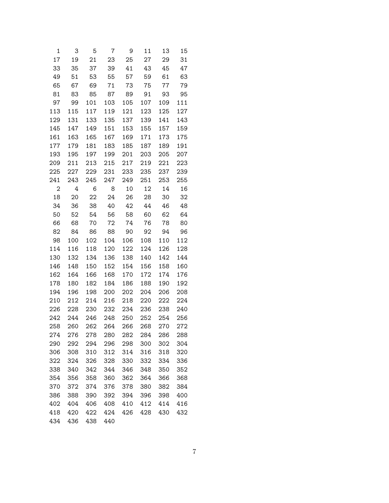| 1              | 3   | 5   | 7   | 9   | 11  | 13  | 15  |
|----------------|-----|-----|-----|-----|-----|-----|-----|
| 17             | 19  | 21  | 23  | 25  | 27  | 29  | 31  |
| 33             | 35  | 37  | 39  | 41  | 43  | 45  | 47  |
| 49             | 51  | 53  | 55  | 57  | 59  | 61  | 63  |
| 65             | 67  | 69  | 71  | 73  | 75  | 77  | 79  |
| 81             | 83  | 85  | 87  | 89  | 91  | 93  | 95  |
| 97             | 99  | 101 | 103 | 105 | 107 | 109 | 111 |
| 113            | 115 | 117 | 119 | 121 | 123 | 125 | 127 |
| 129            | 131 | 133 | 135 | 137 | 139 | 141 | 143 |
| 145            | 147 | 149 | 151 | 153 | 155 | 157 | 159 |
| 161            | 163 | 165 | 167 | 169 | 171 | 173 | 175 |
| 177            | 179 | 181 | 183 | 185 | 187 | 189 | 191 |
| 193            | 195 | 197 | 199 | 201 | 203 | 205 | 207 |
| 209            | 211 | 213 | 215 | 217 | 219 | 221 | 223 |
| 225            | 227 | 229 | 231 | 233 | 235 | 237 | 239 |
| 241            | 243 | 245 | 247 | 249 | 251 | 253 | 255 |
| $\overline{c}$ | 4   | 6   | 8   | 10  | 12  | 14  | 16  |
| 18             | 20  | 22  | 24  | 26  | 28  | 30  | 32  |
| 34             | 36  | 38  | 40  | 42  | 44  | 46  | 48  |
| 50             | 52  | 54  | 56  | 58  | 60  | 62  | 64  |
| 66             | 68  | 70  | 72  | 74  | 76  | 78  | 80  |
| 82             | 84  | 86  | 88  | 90  | 92  | 94  | 96  |
| 98             | 100 | 102 | 104 | 106 | 108 | 110 | 112 |
| 114            | 116 | 118 | 120 | 122 | 124 | 126 | 128 |
| 130            | 132 | 134 | 136 | 138 | 140 | 142 | 144 |
| 146            | 148 | 150 | 152 | 154 | 156 | 158 | 160 |
| 162            | 164 | 166 | 168 | 170 | 172 | 174 | 176 |
| 178            | 180 | 182 | 184 | 186 | 188 | 190 | 192 |
| 194            | 196 | 198 | 200 | 202 | 204 | 206 | 208 |
| 210            | 212 | 214 | 216 | 218 | 220 | 222 | 224 |
| 226            | 228 | 230 | 232 | 234 | 236 | 238 | 240 |
| 242            | 244 | 246 | 248 | 250 | 252 | 254 | 256 |
| 258            | 260 | 262 | 264 | 266 | 268 | 270 | 272 |
| 274            | 276 | 278 | 280 | 282 | 284 | 286 | 288 |
| 290            | 292 | 294 | 296 | 298 | 300 | 302 | 304 |
| 306            | 308 | 310 | 312 | 314 | 316 | 318 | 320 |
| 322            | 324 | 326 | 328 | 330 | 332 | 334 | 336 |
| 338            | 340 | 342 | 344 | 346 | 348 | 350 | 352 |
| 354            | 356 | 358 | 360 | 362 | 364 | 366 | 368 |
| 370            | 372 | 374 | 376 | 378 | 380 | 382 | 384 |
| 386            | 388 | 390 | 392 | 394 | 396 | 398 | 400 |
| 402            | 404 | 406 | 408 | 410 | 412 | 414 | 416 |
| 418            | 420 | 422 | 424 | 426 | 428 | 430 | 432 |
| 434            | 436 | 438 | 440 |     |     |     |     |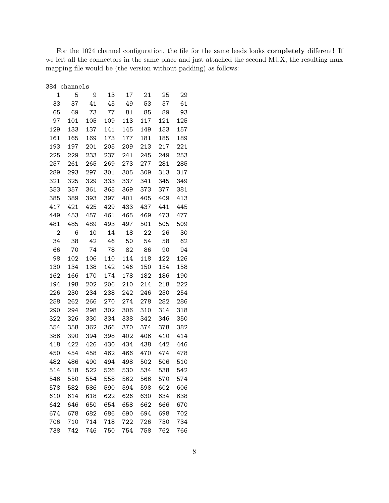For the 1024 channel configuration, the file for the same leads looks completely different! If we left all the connectors in the same place and just attached the second MUX, the resulting mux mapping file would be (the version without padding) as follows:

|              | 384 channels |     |     |     |     |     |     |
|--------------|--------------|-----|-----|-----|-----|-----|-----|
| 1            | 5            | 9   | 13  | 17  | 21  | 25  | 29  |
| 33           | 37           | 41  | 45  | 49  | 53  | 57  | 61  |
| 65           | 69           | 73  | 77  | 81  | 85  | 89  | 93  |
| 97           | 101          | 105 | 109 | 113 | 117 | 121 | 125 |
| 129          | 133          | 137 | 141 | 145 | 149 | 153 | 157 |
| 161          | 165          | 169 | 173 | 177 | 181 | 185 | 189 |
| 193          | 197          | 201 | 205 | 209 | 213 | 217 | 221 |
| 225          | 229          | 233 | 237 | 241 | 245 | 249 | 253 |
| 257          | 261          | 265 | 269 | 273 | 277 | 281 | 285 |
| 289          | 293          | 297 | 301 | 305 | 309 | 313 | 317 |
| 321          | 325          | 329 | 333 | 337 | 341 | 345 | 349 |
| 353          | 357          | 361 | 365 | 369 | 373 | 377 | 381 |
| 385          | 389          | 393 | 397 | 401 | 405 | 409 | 413 |
| 417          | 421          | 425 | 429 | 433 | 437 | 441 | 445 |
| 449          | 453          | 457 | 461 | 465 | 469 | 473 | 477 |
| 481          | 485          | 489 | 493 | 497 | 501 | 505 | 509 |
| $\mathbf{2}$ | 6            | 10  | 14  | 18  | 22  | 26  | 30  |
| 34           | 38           | 42  | 46  | 50  | 54  | 58  | 62  |
| 66           | 70           | 74  | 78  | 82  | 86  | 90  | 94  |
| 98           | 102          | 106 | 110 | 114 | 118 | 122 | 126 |
| 130          | 134          | 138 | 142 | 146 | 150 | 154 | 158 |
| 162          | 166          | 170 | 174 | 178 | 182 | 186 | 190 |
| 194          | 198          | 202 | 206 | 210 | 214 | 218 | 222 |
| 226          | 230          | 234 | 238 | 242 | 246 | 250 | 254 |
| 258          | 262          | 266 | 270 | 274 | 278 | 282 | 286 |
| 290          | 294          | 298 | 302 | 306 | 310 | 314 | 318 |
| 322          | 326          | 330 | 334 | 338 | 342 | 346 | 350 |
| 354          | 358          | 362 | 366 | 370 | 374 | 378 | 382 |
| 386          | 390          | 394 | 398 | 402 | 406 | 410 | 414 |
| 418          | 422          | 426 | 430 | 434 | 438 | 442 | 446 |
| 450          | 454          | 458 | 462 | 466 | 470 | 474 | 478 |
| 482          | 486          | 490 | 494 | 498 | 502 | 506 | 510 |
| 514          | 518          | 522 | 526 | 530 | 534 | 538 | 542 |
| 546          | 550          | 554 | 558 | 562 | 566 | 570 | 574 |
| 578          | 582          | 586 | 590 | 594 | 598 | 602 | 606 |
| 610          | 614          | 618 | 622 | 626 | 630 | 634 | 638 |
| 642          | 646          | 650 | 654 | 658 | 662 | 666 | 670 |
| 674          | 678          | 682 | 686 | 690 | 694 | 698 | 702 |
| 706          | 710          | 714 | 718 | 722 | 726 | 730 | 734 |
| 738          | 742          | 746 | 750 | 754 | 758 | 762 | 766 |